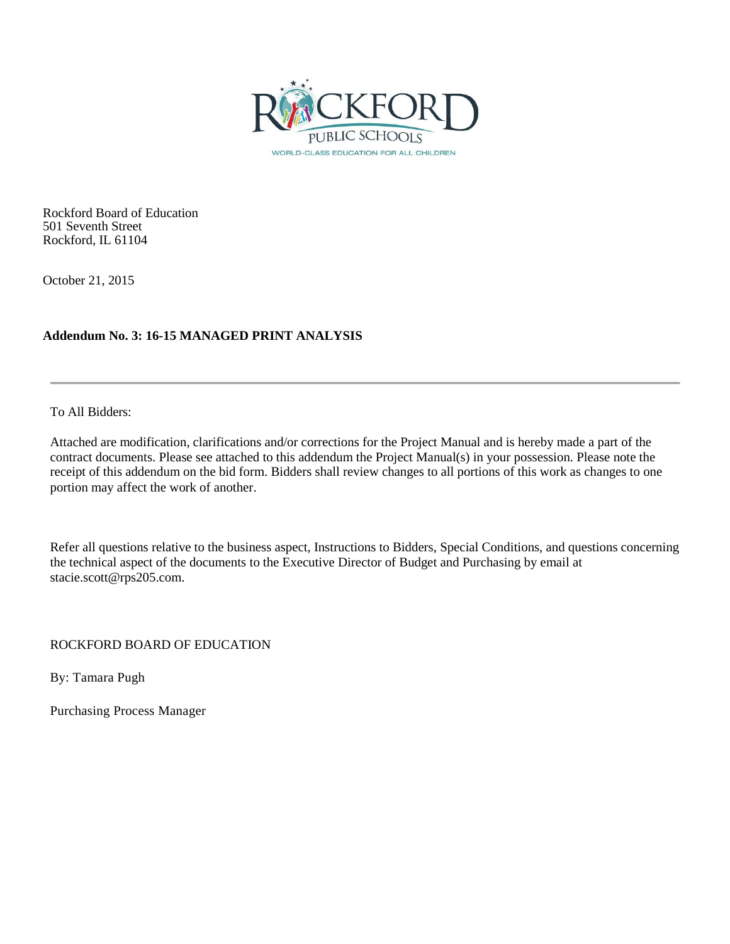

Rockford Board of Education 501 Seventh Street Rockford, IL 61104

October 21, 2015

## **Addendum No. 3: 16-15 MANAGED PRINT ANALYSIS**

To All Bidders:

Attached are modification, clarifications and/or corrections for the Project Manual and is hereby made a part of the contract documents. Please see attached to this addendum the Project Manual(s) in your possession. Please note the receipt of this addendum on the bid form. Bidders shall review changes to all portions of this work as changes to one portion may affect the work of another.

Refer all questions relative to the business aspect, Instructions to Bidders, Special Conditions, and questions concerning the technical aspect of the documents to the Executive Director of Budget and Purchasing by email at stacie.scott@rps205.com.

ROCKFORD BOARD OF EDUCATION

By: Tamara Pugh

Purchasing Process Manager